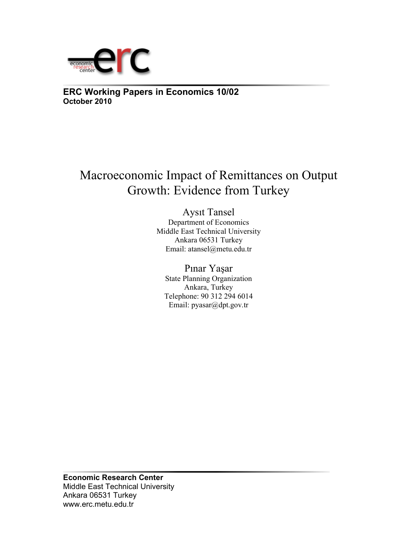

**ERC Working Papers in Economics 10/02 October 2010**

# Macroeconomic Impact of Remittances on Output Growth: Evidence from Turkey

Aysıt Tansel Department of Economics Middle East Technical University Ankara 06531 Turkey Email: atansel@metu.edu.tr

Pınar Yaşar State Planning Organization Ankara, Turkey Telephone: 90 312 294 6014 Email: pyasar@dpt.gov.tr

**Economic Research Center**  Middle East Technical University Ankara 06531 Turkey www.erc.metu.edu.tr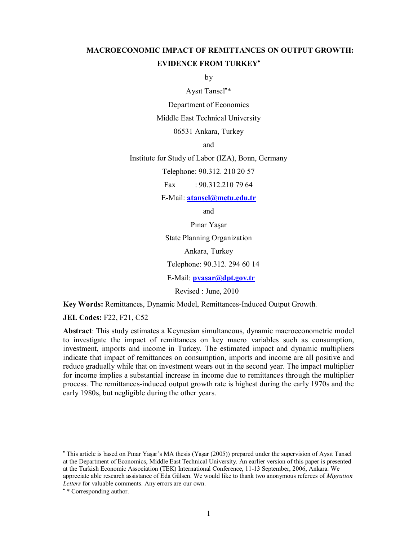# **MACROECONOMIC IMPACT OF REMITTANCES ON OUTPUT GROWTH: EVIDENCE FROM TURKEY**

by

Aysıt Tansel \*

Department of Economics

Middle East Technical University

06531 Ankara, Turkey

and

Institute for Study of Labor (IZA), Bonn, Germany

Telephone: 90.312. 210 20 57

Fax : 90.312.210 79 64

E-Mail: **atansel@metu.edu.tr**

and

Pınar Yaşar

State Planning Organization

Ankara, Turkey

Telephone: 90.312. 294 60 14

E-Mail: **pyasar@dpt.gov.tr**

Revised : June, 2010

**Key Words:** Remittances, Dynamic Model, Remittances-Induced Output Growth.

**JEL Codes:** F22, F21, C52

**Abstract**: This study estimates a Keynesian simultaneous, dynamic macroeconometric model to investigate the impact of remittances on key macro variables such as consumption, investment, imports and income in Turkey. The estimated impact and dynamic multipliers indicate that impact of remittances on consumption, imports and income are all positive and reduce gradually while that on investment wears out in the second year. The impact multiplier for income implies a substantial increase in income due to remittances through the multiplier process. The remittances-induced output growth rate is highest during the early 1970s and the early 1980s, but negligible during the other years.

 $\overline{a}$ 

 This article is based on Pınar Yaşar's MA thesis (Yaşar (2005)) prepared under the supervision of Aysıt Tansel at the Department of Economics, Middle East Technical University. An earlier version of this paper is presented at the Turkish Economic Association (TEK) International Conference, 11-13 September, 2006, Ankara. We appreciate able research assistance of Eda Gülsen. We would like to thank two anonymous referees of *Migration Letters* for valuable comments. Any errors are our own.

<sup>\*</sup> Corresponding author.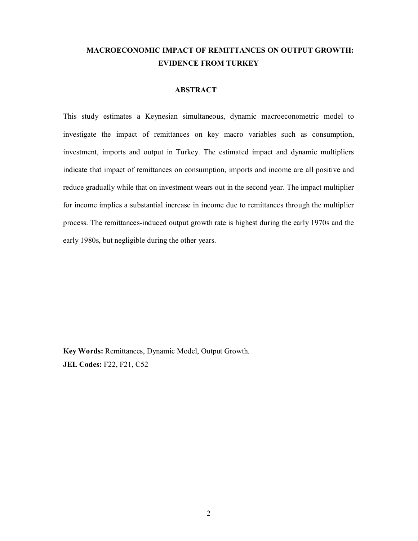# **MACROECONOMIC IMPACT OF REMITTANCES ON OUTPUT GROWTH: EVIDENCE FROM TURKEY**

## **ABSTRACT**

This study estimates a Keynesian simultaneous, dynamic macroeconometric model to investigate the impact of remittances on key macro variables such as consumption, investment, imports and output in Turkey. The estimated impact and dynamic multipliers indicate that impact of remittances on consumption, imports and income are all positive and reduce gradually while that on investment wears out in the second year. The impact multiplier for income implies a substantial increase in income due to remittances through the multiplier process. The remittances-induced output growth rate is highest during the early 1970s and the early 1980s, but negligible during the other years.

**Key Words:** Remittances, Dynamic Model, Output Growth. **JEL Codes:** F22, F21, C52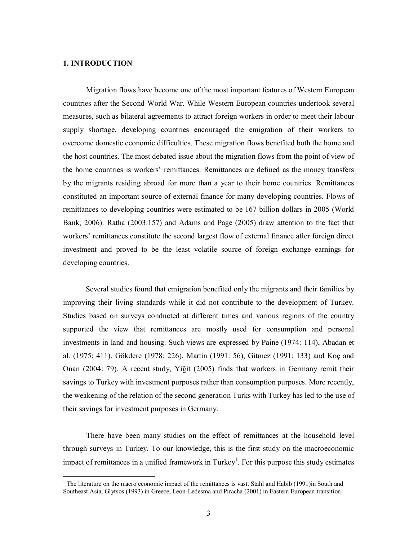### **1. INTRODUCTION**

 $\overline{\phantom{a}}$ 

Migration flows have become one of the most important features of Western European countries after the Second World War. While Western European countries undertook several measures, such as bilateral agreements to attract foreign workers in order to meet their labour supply shortage, developing countries encouraged the emigration of their workers to overcome domestic economic difficulties. These migration flows benefited both the home and the host countries. The most debated issue about the migration flows from the point of view of the home countries is workers' remittances. Remittances are defined as the money transfers by the migrants residing abroad for more than a year to their home countries. Remittances constituted an important source of external finance for many developing countries. Flows of remittances to developing countries were estimated to be 167 billion dollars in 2005 (World Bank, 2006). Ratha (2003:157) and Adams and Page (2005) draw attention to the fact that workers' remittances constitute the second largest flow of external finance after foreign direct investment and proved to be the least volatile source of foreign exchange earnings for developing countries.

Several studies found that emigration benefited only the migrants and their families by improving their living standards while it did not contribute to the development of Turkey. Studies based on surveys conducted at different times and various regions of the country supported the view that remittances are mostly used for consumption and personal investments in land and housing. Such views are expressed by Paine (1974: 114), Abadan et al. (1975: 411), Gökdere (1978: 226), Martin (1991: 56), Gitmez (1991: 133) and Koç and Onan (2004: 79). A recent study, Yiğit (2005) finds that workers in Germany remit their savings to Turkey with investment purposes rather than consumption purposes. More recently, the weakening of the relation of the second generation Turks with Turkey has led to the use of their savings for investment purposes in Germany.

There have been many studies on the effect of remittances at the household level through surveys in Turkey. To our knowledge, this is the first study on the macroeconomic impact of remittances in a unified framework in Turkey<sup>1</sup>. For this purpose this study estimates

<sup>&</sup>lt;sup>1</sup> The literature on the macro economic impact of the remittances is vast. Stahl and Habib (1991)in South and Southeast Asia, Glytsos (1993) in Greece, Leon-Ledesma and Piracha (2001) in Eastern European transition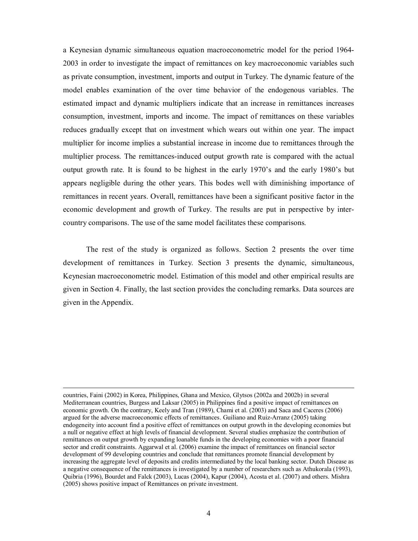a Keynesian dynamic simultaneous equation macroeconometric model for the period 1964- 2003 in order to investigate the impact of remittances on key macroeconomic variables such as private consumption, investment, imports and output in Turkey. The dynamic feature of the model enables examination of the over time behavior of the endogenous variables. The estimated impact and dynamic multipliers indicate that an increase in remittances increases consumption, investment, imports and income. The impact of remittances on these variables reduces gradually except that on investment which wears out within one year. The impact multiplier for income implies a substantial increase in income due to remittances through the multiplier process. The remittances-induced output growth rate is compared with the actual output growth rate. It is found to be highest in the early 1970's and the early 1980's but appears negligible during the other years. This bodes well with diminishing importance of remittances in recent years. Overall, remittances have been a significant positive factor in the economic development and growth of Turkey. The results are put in perspective by intercountry comparisons. The use of the same model facilitates these comparisons.

The rest of the study is organized as follows. Section 2 presents the over time development of remittances in Turkey. Section 3 presents the dynamic, simultaneous, Keynesian macroeconometric model. Estimation of this model and other empirical results are given in Section 4. Finally, the last section provides the concluding remarks. Data sources are given in the Appendix.

 $\overline{a}$ 

countries, Faini (2002) in Korea, Philippines, Ghana and Mexico, Glytsos (2002a and 2002b) in several Mediterranean countries, Burgess and Laksar (2005) in Philippines find a positive impact of remittances on economic growth. On the contrary, Keely and Tran (1989), Chami et al. (2003) and Saca and Caceres (2006) argued for the adverse macroeconomic effects of remittances. Guiliano and Ruiz-Arranz (2005) taking endogeneity into account find a positive effect of remittances on output growth in the developing economies but a null or negative effect at high levels of financial development. Several studies emphasize the contribution of remittances on output growth by expanding loanable funds in the developing economies with a poor financial sector and credit constraints. Aggarwal et al. (2006) examine the impact of remittances on financial sector development of 99 developing countries and conclude that remittances promote financial development by increasing the aggregate level of deposits and credits intermediated by the local banking sector. Dutch Disease as a negative consequence of the remittances is investigated by a number of researchers such as Athukorala (1993), Quibria (1996), Bourdet and Falck (2003), Lucas (2004), Kapur (2004), Acosta et al. (2007) and others. Mishra (2005) shows positive impact of Remittances on private investment.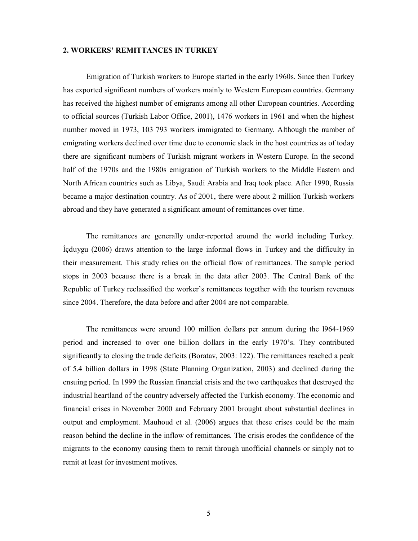#### **2. WORKERS' REMITTANCES IN TURKEY**

Emigration of Turkish workers to Europe started in the early 1960s. Since then Turkey has exported significant numbers of workers mainly to Western European countries. Germany has received the highest number of emigrants among all other European countries. According to official sources (Turkish Labor Office, 2001), 1476 workers in 1961 and when the highest number moved in 1973, 103 793 workers immigrated to Germany. Although the number of emigrating workers declined over time due to economic slack in the host countries as of today there are significant numbers of Turkish migrant workers in Western Europe. In the second half of the 1970s and the 1980s emigration of Turkish workers to the Middle Eastern and North African countries such as Libya, Saudi Arabia and Iraq took place. After 1990, Russia became a major destination country. As of 2001, there were about 2 million Turkish workers abroad and they have generated a significant amount of remittances over time.

The remittances are generally under-reported around the world including Turkey. İçduygu (2006) draws attention to the large informal flows in Turkey and the difficulty in their measurement. This study relies on the official flow of remittances. The sample period stops in 2003 because there is a break in the data after 2003. The Central Bank of the Republic of Turkey reclassified the worker's remittances together with the tourism revenues since 2004. Therefore, the data before and after 2004 are not comparable.

The remittances were around 100 million dollars per annum during the l964-1969 period and increased to over one billion dollars in the early 1970's. They contributed significantly to closing the trade deficits (Boratav, 2003: 122). The remittances reached a peak of 5.4 billion dollars in 1998 (State Planning Organization, 2003) and declined during the ensuing period. In 1999 the Russian financial crisis and the two earthquakes that destroyed the industrial heartland of the country adversely affected the Turkish economy. The economic and financial crises in November 2000 and February 2001 brought about substantial declines in output and employment. Mauhoud et al. (2006) argues that these crises could be the main reason behind the decline in the inflow of remittances. The crisis erodes the confidence of the migrants to the economy causing them to remit through unofficial channels or simply not to remit at least for investment motives.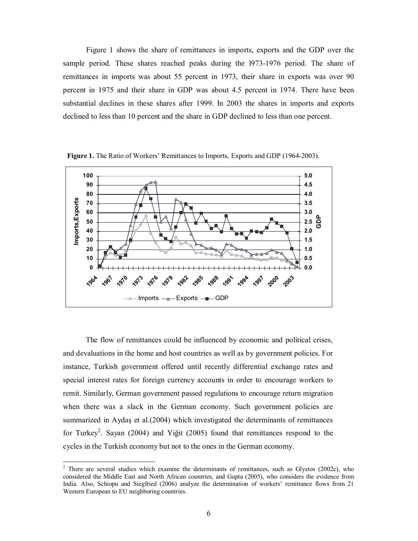Figure 1 shows the share of remittances in imports, exports and the GDP over the sample period. These shares reached peaks during the l973-1976 period. The share of remittances in imports was about 55 percent in 1973, their share in exports was over 90 percent in 1975 and their share in GDP was about 4.5 percent in 1974. There have been substantial declines in these shares after 1999. In 2003 the shares in imports and exports declined to less than 10 percent and the share in GDP declined to less than one percent.



**Figure 1.** The Ratio of Workers' Remittances to Imports, Exports and GDP (1964-2003).

The flow of remittances could be influenced by economic and political crises, and devaluations in the home and host countries as well as by government policies. For instance, Turkish government offered until recently differential exchange rates and special interest rates for foreign currency accounts in order to encourage workers to remit. Similarly, German government passed regulations to encourage return migration when there was a slack in the German economy. Such government policies are summarized in Aydaş et al.(2004) which investigated the determinants of remittances for Turkey<sup>2</sup>. Sayan (2004) and Yiğit (2005) found that remittances respond to the cycles in the Turkish economy but not to the ones in the German economy.

<sup>&</sup>lt;sup>2</sup> There are several studies which examine the determinants of remittances, such as Glystos (2002c), who considered the Middle East and North African countries, and Gupta (2005), who considers the evidence from India. Also, Schiopu and Siegfried (2006) analyze the determination of workers' remittance flows from 21 Western European to EU neighboring countries.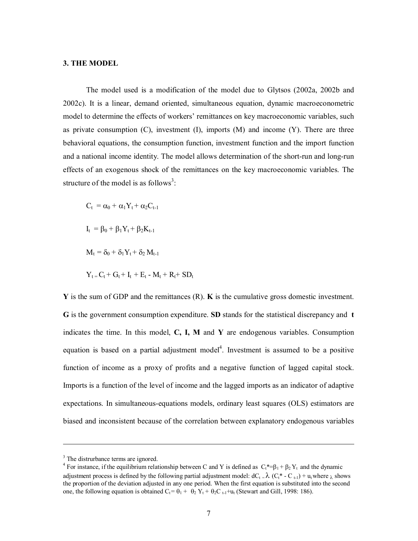#### **3. THE MODEL**

The model used is a modification of the model due to Glytsos (2002a, 2002b and 2002c). It is a linear, demand oriented, simultaneous equation, dynamic macroeconometric model to determine the effects of workers' remittances on key macroeconomic variables, such as private consumption  $(C)$ , investment  $(I)$ , imports  $(M)$  and income  $(Y)$ . There are three behavioral equations, the consumption function, investment function and the import function and a national income identity. The model allows determination of the short-run and long-run effects of an exogenous shock of the remittances on the key macroeconomic variables. The structure of the model is as follows<sup>3</sup>:

$$
C_{t} = \alpha_{0} + \alpha_{1}Y_{t} + \alpha_{2}C_{t-1}
$$
\n
$$
I_{t} = \beta_{0} + \beta_{1}Y_{t} + \beta_{2}K_{t-1}
$$
\n
$$
M_{t} = \delta_{0} + \delta_{1}Y_{t} + \delta_{2}M_{t-1}
$$
\n
$$
Y_{t} = C_{t} + G_{t} + I_{t} + E_{t} - M_{t} + R_{t} + SD_{t}
$$

**Y** is the sum of GDP and the remittances (R). **K** is the cumulative gross domestic investment. **G** is the government consumption expenditure. **SD** stands for the statistical discrepancy and **t**  indicates the time. In this model, **C, I, M** and **Y** are endogenous variables. Consumption equation is based on a partial adjustment model<sup>4</sup>. Investment is assumed to be a positive function of income as a proxy of profits and a negative function of lagged capital stock. Imports is a function of the level of income and the lagged imports as an indicator of adaptive expectations. In simultaneous-equations models, ordinary least squares (OLS) estimators are biased and inconsistent because of the correlation between explanatory endogenous variables

 $\overline{a}$ 

<sup>&</sup>lt;sup>3</sup> The distrurbance terms are ignored.

<sup>&</sup>lt;sup>4</sup> For instance, if the equilibrium relationship between C and Y is defined as  $C_t^* = \beta_1 + \beta_2 Y_t$  and the dynamic adjustment process is defined by the following partial adjustment model:  $dC_t = \lambda (C_t^* - C_{t-1}) + u_t$  where  $\lambda$  shows the proportion of the deviation adjusted in any one period. When the first equation is substituted into the second one, the following equation is obtained  $C_t = \theta_1 + \theta_2 Y_t + \theta_2 C_{t-1} + u_t$  (Stewart and Gill, 1998: 186).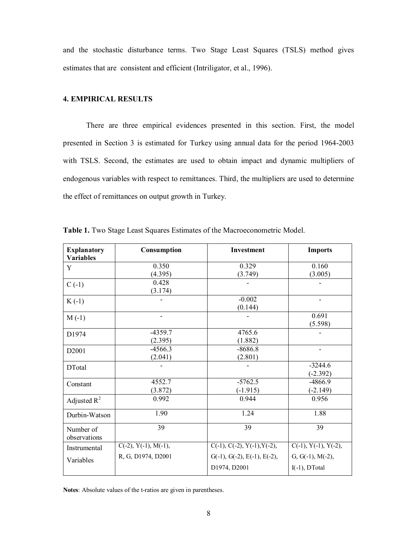and the stochastic disturbance terms. Two Stage Least Squares (TSLS) method gives estimates that are consistent and efficient (Intriligator, et al., 1996).

### **4. EMPIRICAL RESULTS**

There are three empirical evidences presented in this section. First, the model presented in Section 3 is estimated for Turkey using annual data for the period 1964-2003 with TSLS. Second, the estimates are used to obtain impact and dynamic multipliers of endogenous variables with respect to remittances. Third, the multipliers are used to determine the effect of remittances on output growth in Turkey.

| <b>Explanatory</b><br><b>Variables</b> | Consumption                   | <b>Investment</b>                                       | <b>Imports</b>                         |
|----------------------------------------|-------------------------------|---------------------------------------------------------|----------------------------------------|
| Y                                      | 0.350                         | 0.329                                                   | 0.160                                  |
| $C(-1)$                                | (4.395)<br>0.428<br>(3.174)   | (3.749)                                                 | (3.005)                                |
| $K(-1)$                                |                               | $-0.002$<br>(0.144)                                     |                                        |
| $M(-1)$                                | $\overline{\phantom{0}}$      |                                                         | 0.691<br>(5.598)                       |
| D <sub>1974</sub>                      | $-4359.7$<br>(2.395)          | 4765.6<br>(1.882)                                       |                                        |
| D <sub>2001</sub>                      | $-4566.3$<br>(2.041)          | $-8686.8$<br>(2.801)                                    | $\overline{a}$                         |
| <b>DT</b> otal                         |                               |                                                         | $-3244.6$<br>$(-2.392)$                |
| Constant                               | 4552.7<br>(3.872)             | $-5762.5$<br>$(-1.915)$                                 | $-4866.9$<br>$(-2.149)$                |
| Adjusted $R^2$                         | 0.992                         | 0.944                                                   | 0.956                                  |
| Durbin-Watson                          | 1.90                          | 1.24                                                    | 1.88                                   |
| Number of<br>observations              | 39                            | 39                                                      | 39                                     |
| Instrumental                           | $C(-2)$ , $Y(-1)$ , $M(-1)$ , | $C(-1), C(-2), Y(-1), Y(-2),$                           | $C(-1)$ , $Y(-1)$ , $Y(-2)$ ,          |
| Variables                              | R, G, D1974, D2001            | $G(-1)$ , $G(-2)$ , $E(-1)$ , $E(-2)$ ,<br>D1974, D2001 | $G, G(-1), M(-2),$<br>$I(-1)$ , DTotal |

**Table 1.** Two Stage Least Squares Estimates of the Macroeconometric Model.

**Notes**: Absolute values of the t-ratios are given in parentheses.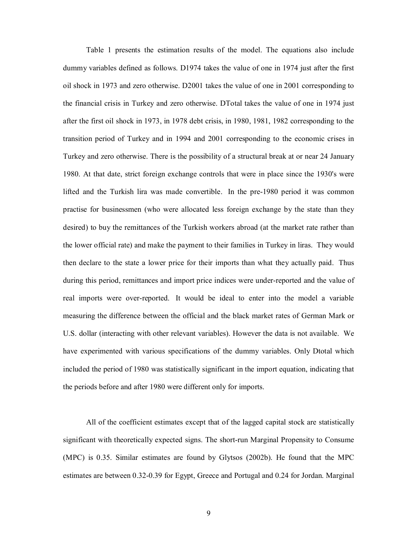Table 1 presents the estimation results of the model. The equations also include dummy variables defined as follows. D1974 takes the value of one in 1974 just after the first oil shock in 1973 and zero otherwise. D2001 takes the value of one in 2001 corresponding to the financial crisis in Turkey and zero otherwise. DTotal takes the value of one in 1974 just after the first oil shock in 1973, in 1978 debt crisis, in 1980, 1981, 1982 corresponding to the transition period of Turkey and in 1994 and 2001 corresponding to the economic crises in Turkey and zero otherwise. There is the possibility of a structural break at or near 24 January 1980. At that date, strict foreign exchange controls that were in place since the 1930's were lifted and the Turkish lira was made convertible. In the pre-1980 period it was common practise for businessmen (who were allocated less foreign exchange by the state than they desired) to buy the remittances of the Turkish workers abroad (at the market rate rather than the lower official rate) and make the payment to their families in Turkey in liras. They would then declare to the state a lower price for their imports than what they actually paid. Thus during this period, remittances and import price indices were under-reported and the value of real imports were over-reported. It would be ideal to enter into the model a variable measuring the difference between the official and the black market rates of German Mark or U.S. dollar (interacting with other relevant variables). However the data is not available. We have experimented with various specifications of the dummy variables. Only Dtotal which included the period of 1980 was statistically significant in the import equation, indicating that the periods before and after 1980 were different only for imports.

All of the coefficient estimates except that of the lagged capital stock are statistically significant with theoretically expected signs. The short-run Marginal Propensity to Consume (MPC) is 0.35. Similar estimates are found by Glytsos (2002b). He found that the MPC estimates are between 0.32-0.39 for Egypt, Greece and Portugal and 0.24 for Jordan. Marginal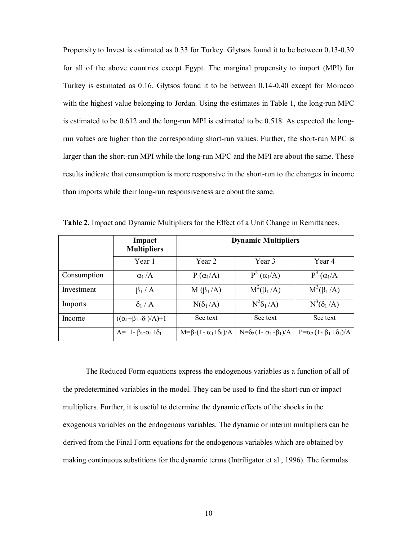Propensity to Invest is estimated as 0.33 for Turkey. Glytsos found it to be between 0.13-0.39 for all of the above countries except Egypt. The marginal propensity to import (MPI) for Turkey is estimated as 0.16. Glytsos found it to be between 0.14-0.40 except for Morocco with the highest value belonging to Jordan. Using the estimates in Table 1, the long-run MPC is estimated to be 0.612 and the long-run MPI is estimated to be 0.518. As expected the longrun values are higher than the corresponding short-run values. Further, the short-run MPC is larger than the short-run MPI while the long-run MPC and the MPI are about the same. These results indicate that consumption is more responsive in the short-run to the changes in income than imports while their long-run responsiveness are about the same.

|             | Impact<br><b>Multipliers</b>            | <b>Dynamic Multipliers</b>                |                                    |                                           |  |
|-------------|-----------------------------------------|-------------------------------------------|------------------------------------|-------------------------------------------|--|
|             | Year 1                                  | Year 2                                    | Year 3                             | Year 4                                    |  |
| Consumption | $\alpha_1/A$                            | $P(\alpha_1/A)$                           | $P^2(\alpha_1/A)$                  | $P^3(\alpha_1/A)$                         |  |
| Investment  | $\beta_1/A$                             | $M(\beta_1/A)$                            | $M^2(\beta_1/A)$                   | $M^3(\beta_1/A)$                          |  |
| Imports     | $\delta_1/A$                            | $N(\delta_1/A)$                           | $N^2\delta_1/A$                    | $N^3(\delta_1/A)$                         |  |
| Income      | $((\alpha_1+\beta_1-\delta_1)/A)+1$     | See text                                  | See text                           | See text                                  |  |
|             | $A = 1 - \beta_1 - \alpha_1 + \delta_1$ | $M = \beta_2 (1 - \alpha_1 + \delta_1)/A$ | $N=\delta_2(1-\alpha_1-\beta_1)/A$ | $P = \alpha_2 (1 - \beta_1 + \delta_1)/A$ |  |

**Table 2.** Impact and Dynamic Multipliers for the Effect of a Unit Change in Remittances.

The Reduced Form equations express the endogenous variables as a function of all of the predetermined variables in the model. They can be used to find the short-run or impact multipliers. Further, it is useful to determine the dynamic effects of the shocks in the exogenous variables on the endogenous variables. The dynamic or interim multipliers can be derived from the Final Form equations for the endogenous variables which are obtained by making continuous substitions for the dynamic terms (Intriligator et al., 1996). The formulas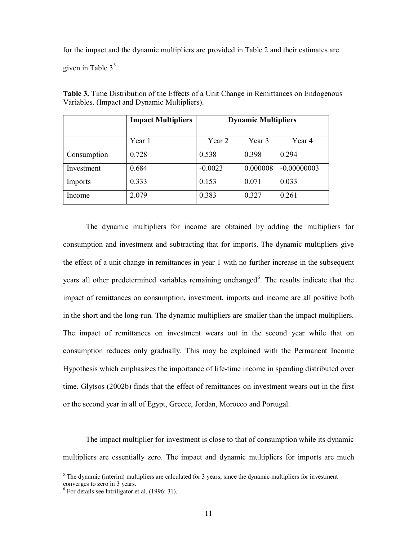for the impact and the dynamic multipliers are provided in Table 2 and their estimates are given in Table  $3<sup>5</sup>$ .

|             | <b>Impact Multipliers</b> | <b>Dynamic Multipliers</b> |          |               |
|-------------|---------------------------|----------------------------|----------|---------------|
|             | Year 1                    | Year 2                     | Year 3   | Year 4        |
| Consumption | 0.728                     | 0.538                      | 0.398    | 0.294         |
| Investment  | 0.684                     | $-0.0023$                  | 0.000008 | $-0.00000003$ |
| Imports     | 0.333                     | 0.153                      | 0.071    | 0.033         |
| Income      | 2.079                     | 0.383                      | 0.327    | 0.261         |

**Table 3.** Time Distribution of the Effects of a Unit Change in Remittances on Endogenous Variables. (Impact and Dynamic Multipliers).

The dynamic multipliers for income are obtained by adding the multipliers for consumption and investment and subtracting that for imports. The dynamic multipliers give the effect of a unit change in remittances in year 1 with no further increase in the subsequent years all other predetermined variables remaining unchanged<sup>6</sup>. The results indicate that the impact of remittances on consumption, investment, imports and income are all positive both in the short and the long-run. The dynamic multipliers are smaller than the impact multipliers. The impact of remittances on investment wears out in the second year while that on consumption reduces only gradually. This may be explained with the Permanent Income Hypothesis which emphasizes the importance of life-time income in spending distributed over time. Glytsos (2002b) finds that the effect of remittances on investment wears out in the first or the second year in all of Egypt, Greece, Jordan, Morocco and Portugal.

The impact multiplier for investment is close to that of consumption while its dynamic multipliers are essentially zero. The impact and dynamic multipliers for imports are much

 $\overline{a}$ 

 $<sup>5</sup>$  The dynamic (interim) multipliers are calculated for 3 years, since the dynamic multipliers for investment</sup>

converges to zero in 3 years. 6 For details see Intriligator et al. (1996: 31).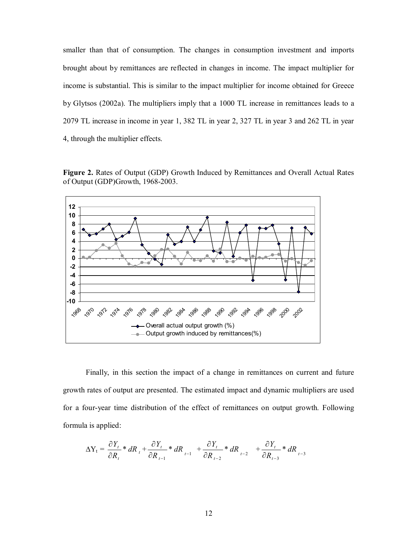smaller than that of consumption. The changes in consumption investment and imports brought about by remittances are reflected in changes in income. The impact multiplier for income is substantial. This is similar to the impact multiplier for income obtained for Greece by Glytsos (2002a). The multipliers imply that a 1000 TL increase in remittances leads to a 2079 TL increase in income in year 1, 382 TL in year 2, 327 TL in year 3 and 262 TL in year 4, through the multiplier effects.

**Figure 2.** Rates of Output (GDP) Growth Induced by Remittances and Overall Actual Rates of Output (GDP)Growth, 1968-2003.



Finally, in this section the impact of a change in remittances on current and future growth rates of output are presented. The estimated impact and dynamic multipliers are used for a four-year time distribution of the effect of remittances on output growth. Following formula is applied:

$$
\Delta Y_{t} = \frac{\partial Y_{t}}{\partial R_{t}} * dR_{t} + \frac{\partial Y_{t}}{\partial R_{t-1}} * dR_{t-1} + \frac{\partial Y_{t}}{\partial R_{t-2}} * dR_{t-2} + \frac{\partial Y_{t}}{\partial R_{t-3}} * dR_{t-3}
$$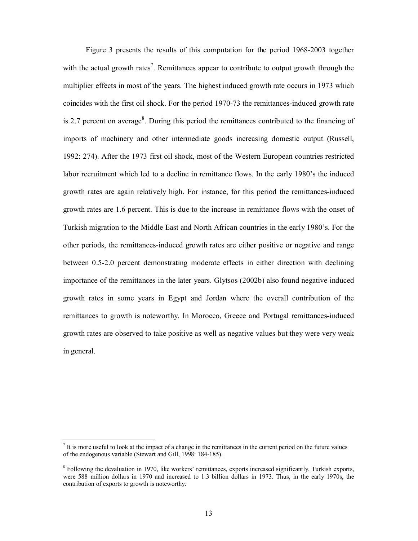Figure 3 presents the results of this computation for the period 1968-2003 together with the actual growth rates<sup>7</sup>. Remittances appear to contribute to output growth through the multiplier effects in most of the years. The highest induced growth rate occurs in 1973 which coincides with the first oil shock. For the period 1970-73 the remittances-induced growth rate is 2.7 percent on average<sup>8</sup>. During this period the remittances contributed to the financing of imports of machinery and other intermediate goods increasing domestic output (Russell, 1992: 274). After the 1973 first oil shock, most of the Western European countries restricted labor recruitment which led to a decline in remittance flows. In the early 1980's the induced growth rates are again relatively high. For instance, for this period the remittances-induced growth rates are 1.6 percent. This is due to the increase in remittance flows with the onset of Turkish migration to the Middle East and North African countries in the early 1980's. For the other periods, the remittances-induced growth rates are either positive or negative and range between 0.5-2.0 percent demonstrating moderate effects in either direction with declining importance of the remittances in the later years. Glytsos (2002b) also found negative induced growth rates in some years in Egypt and Jordan where the overall contribution of the remittances to growth is noteworthy. In Morocco, Greece and Portugal remittances-induced growth rates are observed to take positive as well as negative values but they were very weak in general.

 $\overline{a}$  It is more useful to look at the impact of a change in the remittances in the current period on the future values of the endogenous variable (Stewart and Gill, 1998: 184-185).

<sup>&</sup>lt;sup>8</sup> Following the devaluation in 1970, like workers' remittances, exports increased significantly. Turkish exports, were 588 million dollars in 1970 and increased to 1.3 billion dollars in 1973. Thus, in the early 1970s, the contribution of exports to growth is noteworthy.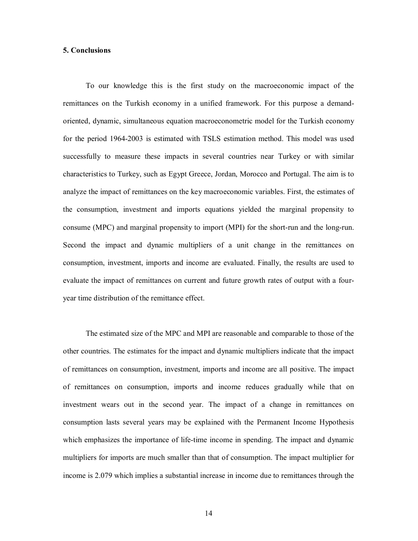#### **5. Conclusions**

 To our knowledge this is the first study on the macroeconomic impact of the remittances on the Turkish economy in a unified framework. For this purpose a demandoriented, dynamic, simultaneous equation macroeconometric model for the Turkish economy for the period 1964-2003 is estimated with TSLS estimation method. This model was used successfully to measure these impacts in several countries near Turkey or with similar characteristics to Turkey, such as Egypt Greece, Jordan, Morocco and Portugal. The aim is to analyze the impact of remittances on the key macroeconomic variables. First, the estimates of the consumption, investment and imports equations yielded the marginal propensity to consume (MPC) and marginal propensity to import (MPI) for the short-run and the long-run. Second the impact and dynamic multipliers of a unit change in the remittances on consumption, investment, imports and income are evaluated. Finally, the results are used to evaluate the impact of remittances on current and future growth rates of output with a fouryear time distribution of the remittance effect.

 The estimated size of the MPC and MPI are reasonable and comparable to those of the other countries. The estimates for the impact and dynamic multipliers indicate that the impact of remittances on consumption, investment, imports and income are all positive. The impact of remittances on consumption, imports and income reduces gradually while that on investment wears out in the second year. The impact of a change in remittances on consumption lasts several years may be explained with the Permanent Income Hypothesis which emphasizes the importance of life-time income in spending. The impact and dynamic multipliers for imports are much smaller than that of consumption. The impact multiplier for income is 2.079 which implies a substantial increase in income due to remittances through the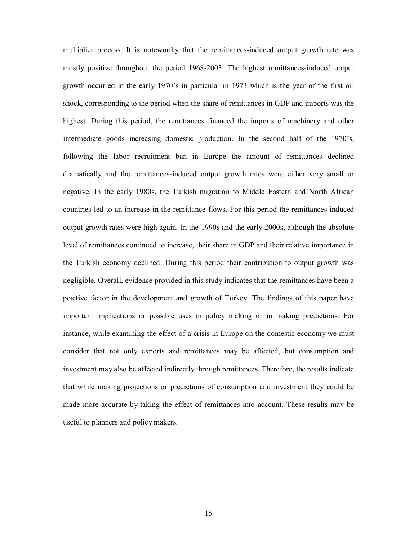multiplier process. It is noteworthy that the remittances-induced output growth rate was mostly positive throughout the period 1968-2003. The highest remittances-induced output growth occurred in the early 1970's in particular in 1973 which is the year of the first oil shock, corresponding to the period when the share of remittances in GDP and imports was the highest. During this period, the remittances financed the imports of machinery and other intermediate goods increasing domestic production. In the second half of the 1970's, following the labor recruitment ban in Europe the amount of remittances declined dramatically and the remittances-induced output growth rates were either very small or negative. In the early 1980s, the Turkish migration to Middle Eastern and North African countries led to an increase in the remittance flows. For this period the remittances-induced output growth rates were high again. In the 1990s and the early 2000s, although the absolute level of remittances continued to increase, their share in GDP and their relative importance in the Turkish economy declined. During this period their contribution to output growth was negligible. Overall, evidence provided in this study indicates that the remittances have been a positive factor in the development and growth of Turkey. The findings of this paper have important implications or possible uses in policy making or in making predictions. For instance, while examining the effect of a crisis in Europe on the domestic economy we must consider that not only exports and remittances may be affected, but consumption and investment may also be affected indirectly through remittances. Therefore, the results indicate that while making projections or predictions of consumption and investment they could be made more accurate by taking the effect of remittances into account. These results may be useful to planners and policy makers.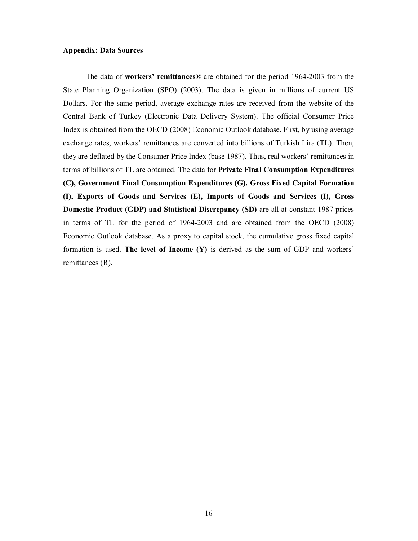#### **Appendix: Data Sources**

The data of **workers' remittances®** are obtained for the period 1964-2003 from the State Planning Organization (SPO) (2003). The data is given in millions of current US Dollars. For the same period, average exchange rates are received from the website of the Central Bank of Turkey (Electronic Data Delivery System). The official Consumer Price Index is obtained from the OECD (2008) Economic Outlook database. First, by using average exchange rates, workers' remittances are converted into billions of Turkish Lira (TL). Then, they are deflated by the Consumer Price Index (base 1987). Thus, real workers' remittances in terms of billions of TL are obtained. The data for **Private Final Consumption Expenditures (C), Government Final Consumption Expenditures (G), Gross Fixed Capital Formation (I), Exports of Goods and Services (E), Imports of Goods and Services (I), Gross Domestic Product (GDP) and Statistical Discrepancy (SD)** are all at constant 1987 prices in terms of TL for the period of 1964-2003 and are obtained from the OECD (2008) Economic Outlook database. As a proxy to capital stock, the cumulative gross fixed capital formation is used. **The level of Income (Y)** is derived as the sum of GDP and workers' remittances (R).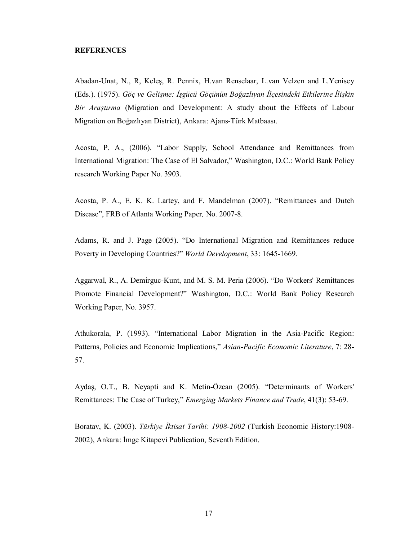#### **REFERENCES**

Abadan-Unat, N., R, Keleş, R. Pennix, H.van Renselaar, L.van Velzen and L.Yenisey (Eds.). (1975). *Göç ve Gelişme: İşgücü Göçünün Boğazlıyan İlçesindeki Etkilerine İlişkin Bir Araştırma* (Migration and Development: A study about the Effects of Labour Migration on Boğazlıyan District), Ankara: Ajans-Türk Matbaası.

Acosta, P. A., (2006). "Labor Supply, School Attendance and Remittances from International Migration: The Case of El Salvador," Washington, D.C.: World Bank Policy research Working Paper No. 3903.

Acosta, P. A., E. K. K. Lartey, and F. Mandelman (2007). "Remittances and Dutch Disease", FRB of Atlanta Working Paper*,* No. 2007-8.

Adams, R. and J. Page (2005). "Do International Migration and Remittances reduce Poverty in Developing Countries?" *World Development*, 33: 1645-1669.

Aggarwal, R., A. Demirguc-Kunt, and M. S. M. Peria (2006). "Do Workers' Remittances Promote Financial Development?" Washington, D.C.: World Bank Policy Research Working Paper, No. 3957.

Athukorala, P. (1993). "International Labor Migration in the Asia-Pacific Region: Patterns, Policies and Economic Implications," *Asian-Pacific Economic Literature*, 7: 28- 57.

Aydaş, O.T., B. Neyapti and K. Metin-Özcan (2005). "Determinants of Workers' Remittances: The Case of Turkey," *Emerging Markets Finance and Trade*, 41(3): 53-69.

Boratav, K. (2003). *Türkiye İktisat Tarihi: 1908-2002* (Turkish Economic History:1908- 2002), Ankara: İmge Kitapevi Publication, Seventh Edition.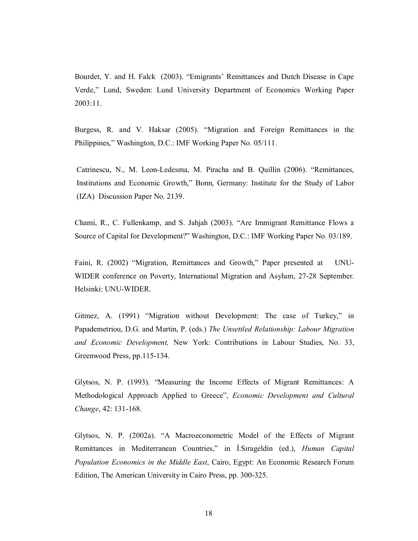Bourdet, Y. and H. Falck (2003). "Emigrants' Remittances and Dutch Disease in Cape Verde," Lund, Sweden: Lund University Department of Economics Working Paper 2003:11.

Burgess, R. and V. Haksar (2005). "Migration and Foreign Remittances in the Philippines," Washington, D.C.: IMF Working Paper No. 05/111.

Catrinescu, N., M. Leon-Ledesma, M. Piracha and B. Quillin (2006). "Remittances, Institutions and Economic Growth," Bonn, Germany: Institute for the Study of Labor (IZA) Discussion Paper No. 2139.

Chami, R., C. Fullenkamp, and S. Jahjah (2003). "Are Immigrant Remittance Flows a Source of Capital for Development?" Washington, D.C.: IMF Working Paper No. 03/189.

Faini, R. (2002) "Migration, Remittances and Growth," Paper presented at UNU-WIDER conference on Poverty, International Migration and Asylum, 27-28 September. Helsinki: UNU-WIDER.

Gitmez, A. (1991) "Migration without Development: The case of Turkey," in Papademetriou, D.G. and Martin, P. (eds.) *The Unsettled Relationship: Labour Migration and Economic Development,* New York: Contributions in Labour Studies, No. 33, Greenwood Press, pp.115-134.

Glytsos, N. P. (1993). "Measuring the Income Effects of Migrant Remittances: A Methodological Approach Applied to Greece", *Economic Development and Cultural Change*, 42: 131-168.

Glytsos, N. P. (2002a). "A Macroeconometric Model of the Effects of Migrant Remittances in Mediterranean Countries," in İ.Sırageldin (ed.), *Human Capital Population Economics in the Middle East*, Cairo, Egypt: An Economic Research Forum Edition, The American University in Cairo Press, pp. 300-325.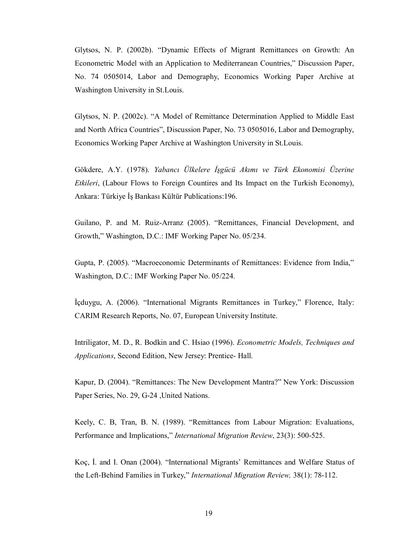Glytsos, N. P. (2002b). "Dynamic Effects of Migrant Remittances on Growth: An Econometric Model with an Application to Mediterranean Countries," Discussion Paper, No. 74 0505014, Labor and Demography, Economics Working Paper Archive at Washington University in St.Louis.

Glytsos, N. P. (2002c). "A Model of Remittance Determination Applied to Middle East and North Africa Countries", Discussion Paper, No. 73 0505016, Labor and Demography, Economics Working Paper Archive at Washington University in St.Louis.

Gökdere, A.Y. (1978). *Yabancı Ülkelere İşgücü Akımı ve Türk Ekonomisi Üzerine Etkileri*, (Labour Flows to Foreign Countires and Its Impact on the Turkish Economy), Ankara: Türkiye İş Bankası Kültür Publications:196.

Guilano, P. and M. Ruiz-Arranz (2005). "Remittances, Financial Development, and Growth," Washington, D.C.: IMF Working Paper No. 05/234.

Gupta, P. (2005). "Macroeconomic Determinants of Remittances: Evidence from India," Washington, D.C.: IMF Working Paper No. 05/224.

İçduygu, A. (2006). "International Migrants Remittances in Turkey," Florence, Italy: CARIM Research Reports, No. 07, European University Institute.

Intriligator, M. D., R. Bodkin and C. Hsiao (1996). *Econometric Models, Techniques and Applications*, Second Edition, New Jersey: Prentice- Hall.

Kapur, D. (2004). "Remittances: The New Development Mantra?" New York: Discussion Paper Series, No. 29, G-24 ,United Nations.

Keely, C. B, Tran, B. N. (1989). "Remittances from Labour Migration: Evaluations, Performance and Implications," *International Migration Review*, 23(3): 500-525.

Koç, İ. and I. Onan (2004). "International Migrants' Remittances and Welfare Status of the Left-Behind Families in Turkey," *International Migration Review,* 38(1): 78-112.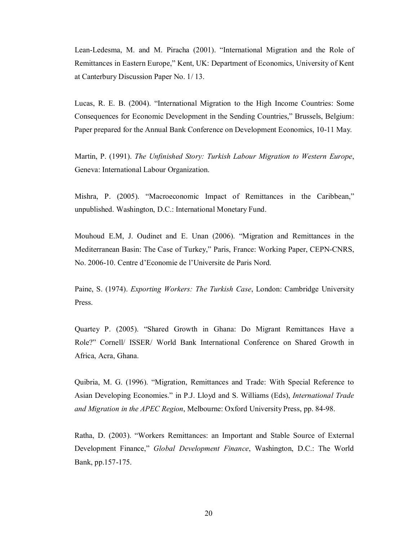Lean-Ledesma, M. and M. Piracha (2001). "International Migration and the Role of Remittances in Eastern Europe," Kent, UK: Department of Economics, University of Kent at Canterbury Discussion Paper No. 1/ 13.

Lucas, R. E. B. (2004). "International Migration to the High Income Countries: Some Consequences for Economic Development in the Sending Countries," Brussels, Belgium: Paper prepared for the Annual Bank Conference on Development Economics, 10-11 May.

Martin, P. (1991). *The Unfinished Story: Turkish Labour Migration to Western Europe*, Geneva: International Labour Organization.

Mishra, P. (2005). "Macroeconomic Impact of Remittances in the Caribbean," unpublished. Washington, D.C.: International Monetary Fund.

Mouhoud E.M, J. Oudinet and E. Unan (2006). "Migration and Remittances in the Mediterranean Basin: The Case of Turkey," Paris, France: Working Paper, CEPN-CNRS, No. 2006-10. Centre d'Economie de l'Universite de Paris Nord.

Paine, S. (1974). *Exporting Workers: The Turkish Case*, London: Cambridge University Press.

Quartey P. (2005). "Shared Growth in Ghana: Do Migrant Remittances Have a Role?" Cornell/ ISSER/ World Bank International Conference on Shared Growth in Africa, Acra, Ghana.

Quibria, M. G. (1996). "Migration, Remittances and Trade: With Special Reference to Asian Developing Economies." in P.J. Lloyd and S. Williams (Eds), *International Trade and Migration in the APEC Region*, Melbourne: Oxford University Press, pp. 84-98.

Ratha, D. (2003). "Workers Remittances: an Important and Stable Source of External Development Finance," *Global Development Finance*, Washington, D.C.: The World Bank, pp.157-175.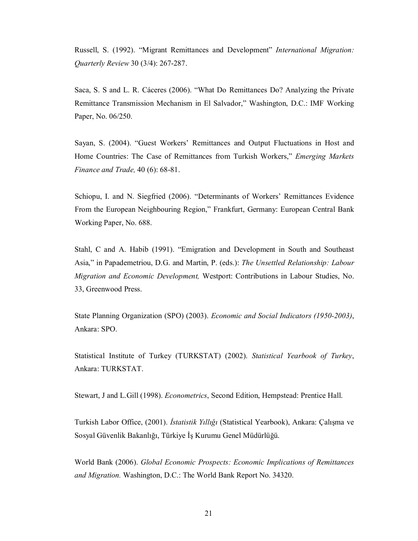Russell, S. (1992). "Migrant Remittances and Development" *International Migration: Quarterly Review* 30 (3/4): 267-287.

Saca, S. S and L. R. Cáceres (2006). "What Do Remittances Do? Analyzing the Private Remittance Transmission Mechanism in El Salvador," Washington, D.C.: IMF Working Paper, No. 06/250.

Sayan, S. (2004). "Guest Workers' Remittances and Output Fluctuations in Host and Home Countries: The Case of Remittances from Turkish Workers," *Emerging Markets Finance and Trade,* 40 (6): 68-81.

Schiopu, I. and N. Siegfried (2006). "Determinants of Workers' Remittances Evidence From the European Neighbouring Region," Frankfurt, Germany: European Central Bank Working Paper, No. 688.

Stahl, C and A. Habib (1991). "Emigration and Development in South and Southeast Asia," in Papademetriou, D.G. and Martin, P. (eds.): *The Unsettled Relationship: Labour Migration and Economic Development,* Westport: Contributions in Labour Studies, No. 33, Greenwood Press.

State Planning Organization (SPO) (2003). *Economic and Social Indicators (1950-2003)*, Ankara: SPO.

Statistical Institute of Turkey (TURKSTAT) (2002). *Statistical Yearbook of Turkey*, Ankara: TURKSTAT.

Stewart, J and L.Gill (1998). *Econometrics*, Second Edition, Hempstead: Prentice Hall.

Turkish Labor Office, (2001). *İstatistik Yıllığı* (Statistical Yearbook), Ankara: Çalışma ve Sosyal Güvenlik Bakanlığı, Türkiye İş Kurumu Genel Müdürlüğü.

World Bank (2006). *Global Economic Prospects: Economic Implications of Remittances and Migration.* Washington, D.C.: The World Bank Report No. 34320.